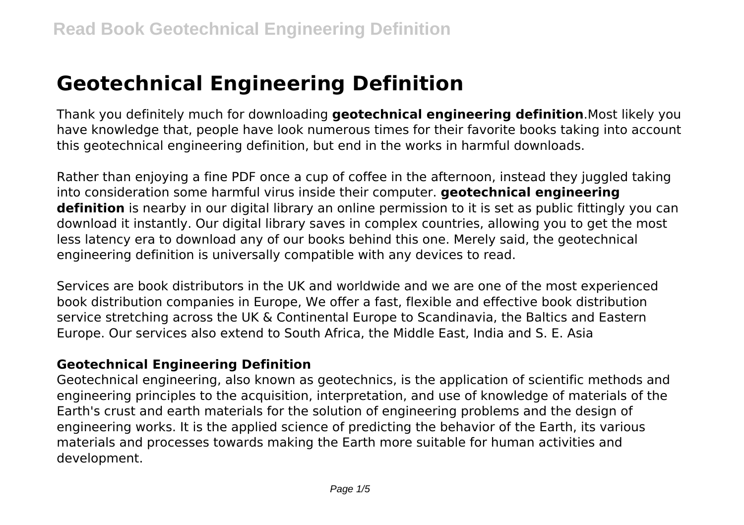# **Geotechnical Engineering Definition**

Thank you definitely much for downloading **geotechnical engineering definition**.Most likely you have knowledge that, people have look numerous times for their favorite books taking into account this geotechnical engineering definition, but end in the works in harmful downloads.

Rather than enjoying a fine PDF once a cup of coffee in the afternoon, instead they juggled taking into consideration some harmful virus inside their computer. **geotechnical engineering definition** is nearby in our digital library an online permission to it is set as public fittingly you can download it instantly. Our digital library saves in complex countries, allowing you to get the most less latency era to download any of our books behind this one. Merely said, the geotechnical engineering definition is universally compatible with any devices to read.

Services are book distributors in the UK and worldwide and we are one of the most experienced book distribution companies in Europe, We offer a fast, flexible and effective book distribution service stretching across the UK & Continental Europe to Scandinavia, the Baltics and Eastern Europe. Our services also extend to South Africa, the Middle East, India and S. E. Asia

# **Geotechnical Engineering Definition**

Geotechnical engineering, also known as geotechnics, is the application of scientific methods and engineering principles to the acquisition, interpretation, and use of knowledge of materials of the Earth's crust and earth materials for the solution of engineering problems and the design of engineering works. It is the applied science of predicting the behavior of the Earth, its various materials and processes towards making the Earth more suitable for human activities and development.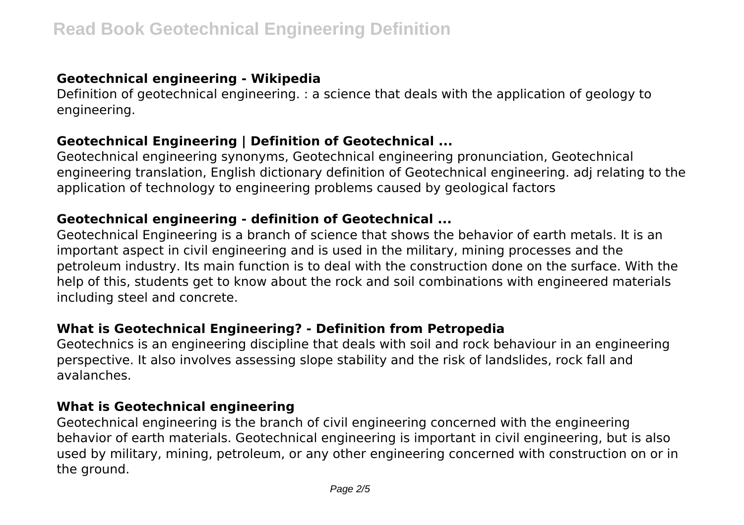## **Geotechnical engineering - Wikipedia**

Definition of geotechnical engineering. : a science that deals with the application of geology to engineering.

#### **Geotechnical Engineering | Definition of Geotechnical ...**

Geotechnical engineering synonyms, Geotechnical engineering pronunciation, Geotechnical engineering translation, English dictionary definition of Geotechnical engineering. adj relating to the application of technology to engineering problems caused by geological factors

## **Geotechnical engineering - definition of Geotechnical ...**

Geotechnical Engineering is a branch of science that shows the behavior of earth metals. It is an important aspect in civil engineering and is used in the military, mining processes and the petroleum industry. Its main function is to deal with the construction done on the surface. With the help of this, students get to know about the rock and soil combinations with engineered materials including steel and concrete.

# **What is Geotechnical Engineering? - Definition from Petropedia**

Geotechnics is an engineering discipline that deals with soil and rock behaviour in an engineering perspective. It also involves assessing slope stability and the risk of landslides, rock fall and avalanches.

## **What is Geotechnical engineering**

Geotechnical engineering is the branch of civil engineering concerned with the engineering behavior of earth materials. Geotechnical engineering is important in civil engineering, but is also used by military, mining, petroleum, or any other engineering concerned with construction on or in the ground.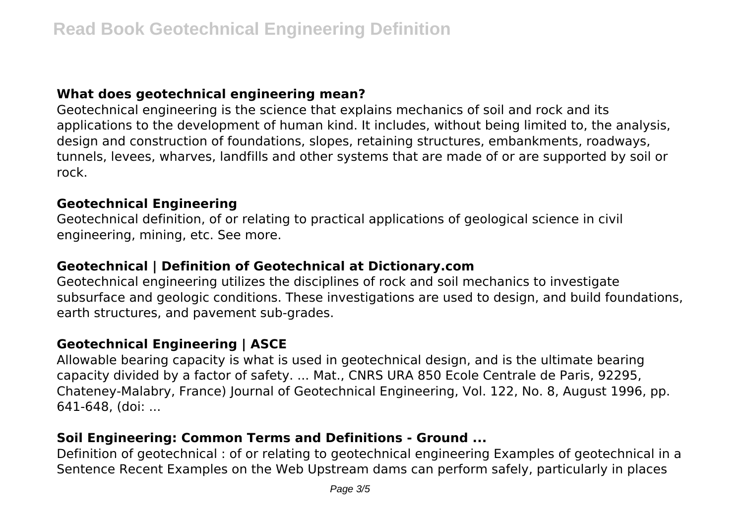## **What does geotechnical engineering mean?**

Geotechnical engineering is the science that explains mechanics of soil and rock and its applications to the development of human kind. It includes, without being limited to, the analysis, design and construction of foundations, slopes, retaining structures, embankments, roadways, tunnels, levees, wharves, landfills and other systems that are made of or are supported by soil or rock.

#### **Geotechnical Engineering**

Geotechnical definition, of or relating to practical applications of geological science in civil engineering, mining, etc. See more.

### **Geotechnical | Definition of Geotechnical at Dictionary.com**

Geotechnical engineering utilizes the disciplines of rock and soil mechanics to investigate subsurface and geologic conditions. These investigations are used to design, and build foundations, earth structures, and pavement sub-grades.

## **Geotechnical Engineering | ASCE**

Allowable bearing capacity is what is used in geotechnical design, and is the ultimate bearing capacity divided by a factor of safety. ... Mat., CNRS URA 850 Ecole Centrale de Paris, 92295, Chateney-Malabry, France) Journal of Geotechnical Engineering, Vol. 122, No. 8, August 1996, pp. 641-648, (doi: ...

# **Soil Engineering: Common Terms and Definitions - Ground ...**

Definition of geotechnical : of or relating to geotechnical engineering Examples of geotechnical in a Sentence Recent Examples on the Web Upstream dams can perform safely, particularly in places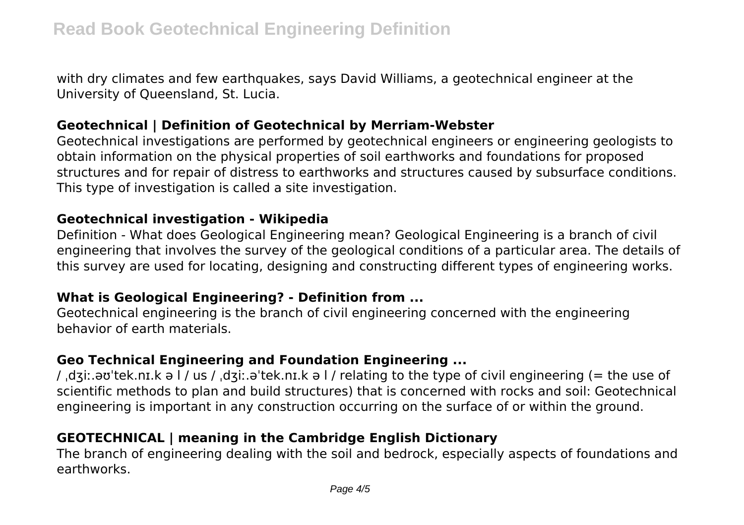with dry climates and few earthquakes, says David Williams, a geotechnical engineer at the University of Queensland, St. Lucia.

#### **Geotechnical | Definition of Geotechnical by Merriam-Webster**

Geotechnical investigations are performed by geotechnical engineers or engineering geologists to obtain information on the physical properties of soil earthworks and foundations for proposed structures and for repair of distress to earthworks and structures caused by subsurface conditions. This type of investigation is called a site investigation.

#### **Geotechnical investigation - Wikipedia**

Definition - What does Geological Engineering mean? Geological Engineering is a branch of civil engineering that involves the survey of the geological conditions of a particular area. The details of this survey are used for locating, designing and constructing different types of engineering works.

#### **What is Geological Engineering? - Definition from ...**

Geotechnical engineering is the branch of civil engineering concerned with the engineering behavior of earth materials.

# **Geo Technical Engineering and Foundation Engineering ...**

/ ˌdʒiː.əʊˈtek.nɪ.k ə l / us / ˌdʒiː.əˈtek.nɪ.k ə l / relating to the type of civil engineering (= the use of scientific methods to plan and build structures) that is concerned with rocks and soil: Geotechnical engineering is important in any construction occurring on the surface of or within the ground.

# **GEOTECHNICAL | meaning in the Cambridge English Dictionary**

The branch of engineering dealing with the soil and bedrock, especially aspects of foundations and earthworks.